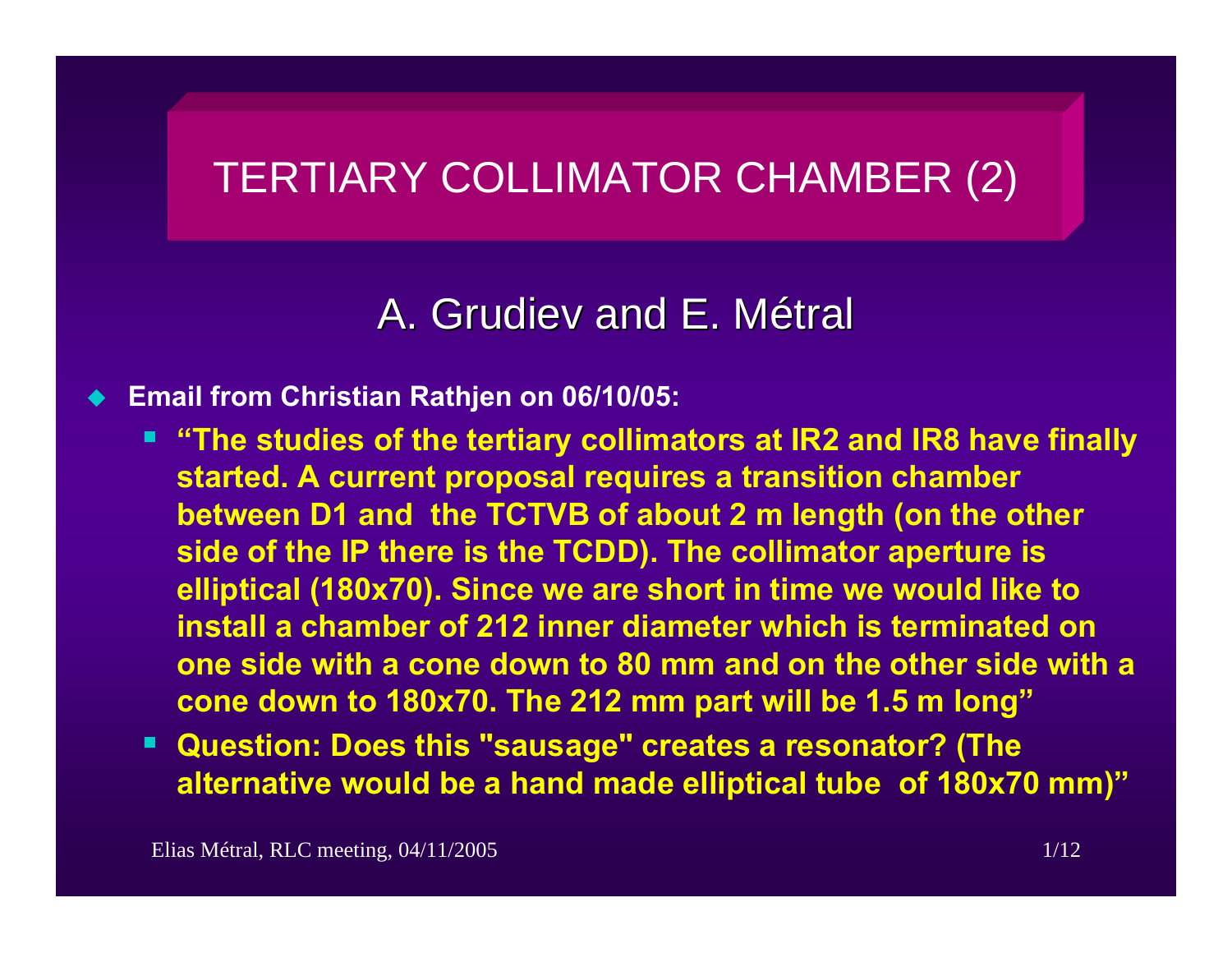# TERTIARY COLLIMATOR CHAMBER (2)

### A. Grudiev and E. Métral

#### ♦ **Email from Christian Rathjen on 06/10/05:**

- **"The studies of the tertiary collimators at IR2 and IR8 have finally started. A current proposal requires a transition chamber between D1 and the TCTVB of about 2 m length (on the other side of the IP there is the TCDD). The collimator aperture is elliptical (180x70). Since we are short in time we would like to install a chamber of 212 inner diameter which is terminated on one side with a cone down to 80 mm and on the other side with a cone down to 180x70. The 212 mm part will be 1.5 m long"**
- **Question: Does this "sausage" creates a resonator? (The alternative would be a hand made elliptical tube of 180x70 mm)"**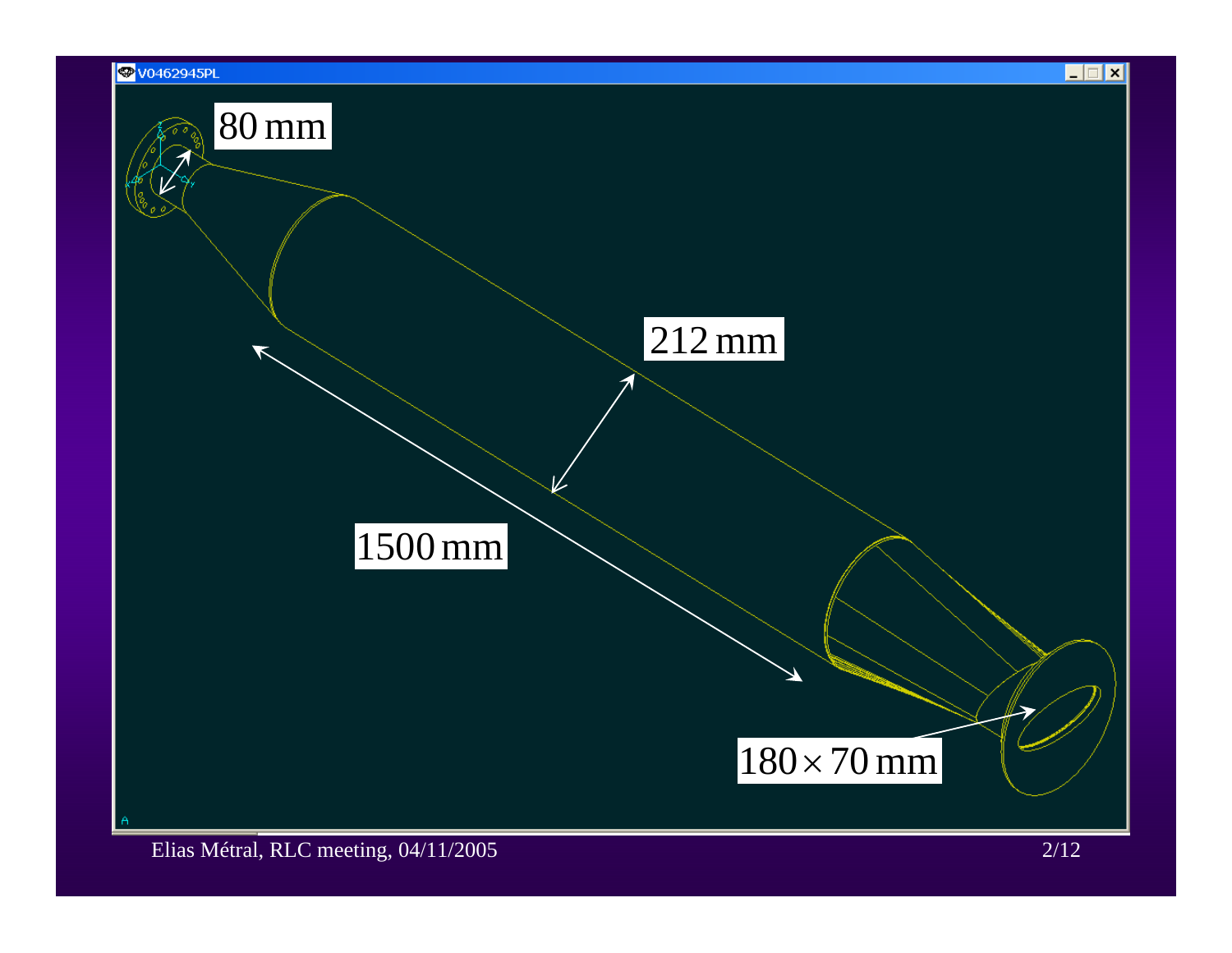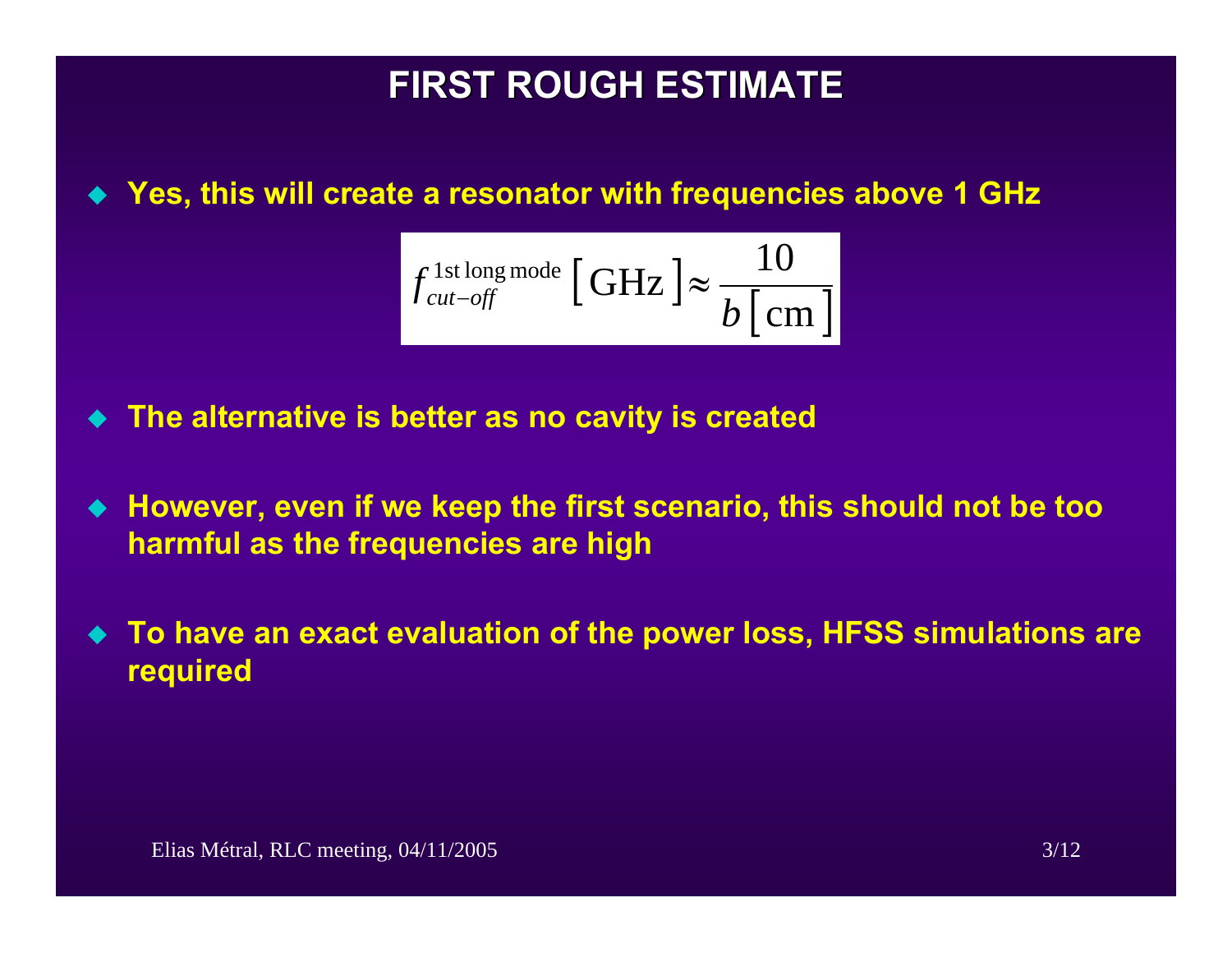# **FIRST ROUGH ESTIMATE FIRST ROUGH ESTIMATE**

#### **Yes, this will create a resonator with frequencies above 1 GHz**

$$
f_{\text{cut-off}}^{\text{1st long mode}} \left[ \text{GHz} \right] \approx \frac{10}{b \left[ \text{cm} \right]}
$$

- $\blacklozenge$ **The alternative is better as no cavity is created**
- **However, even if we keep the first scenario, this should not be too harmful as the frequencies are high**
- $\blacklozenge$  **To have an exact evaluation of the power loss, HFSS simulations are required**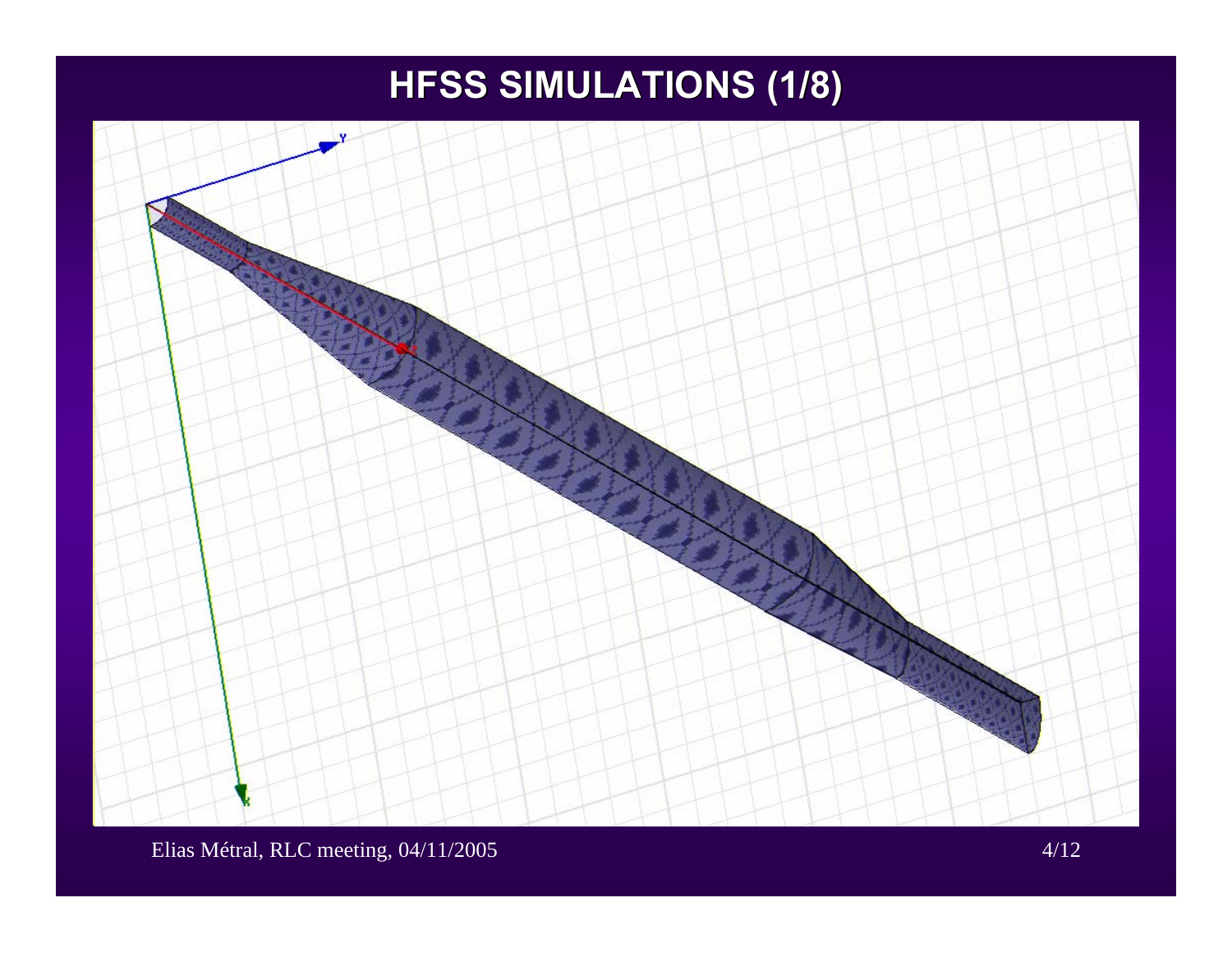# **HFSS SIMULATIONS (1/8) HFSS SIMULATIONS (1/8)**



Elias Métral, RLC meeting, 04/11/2005 4/12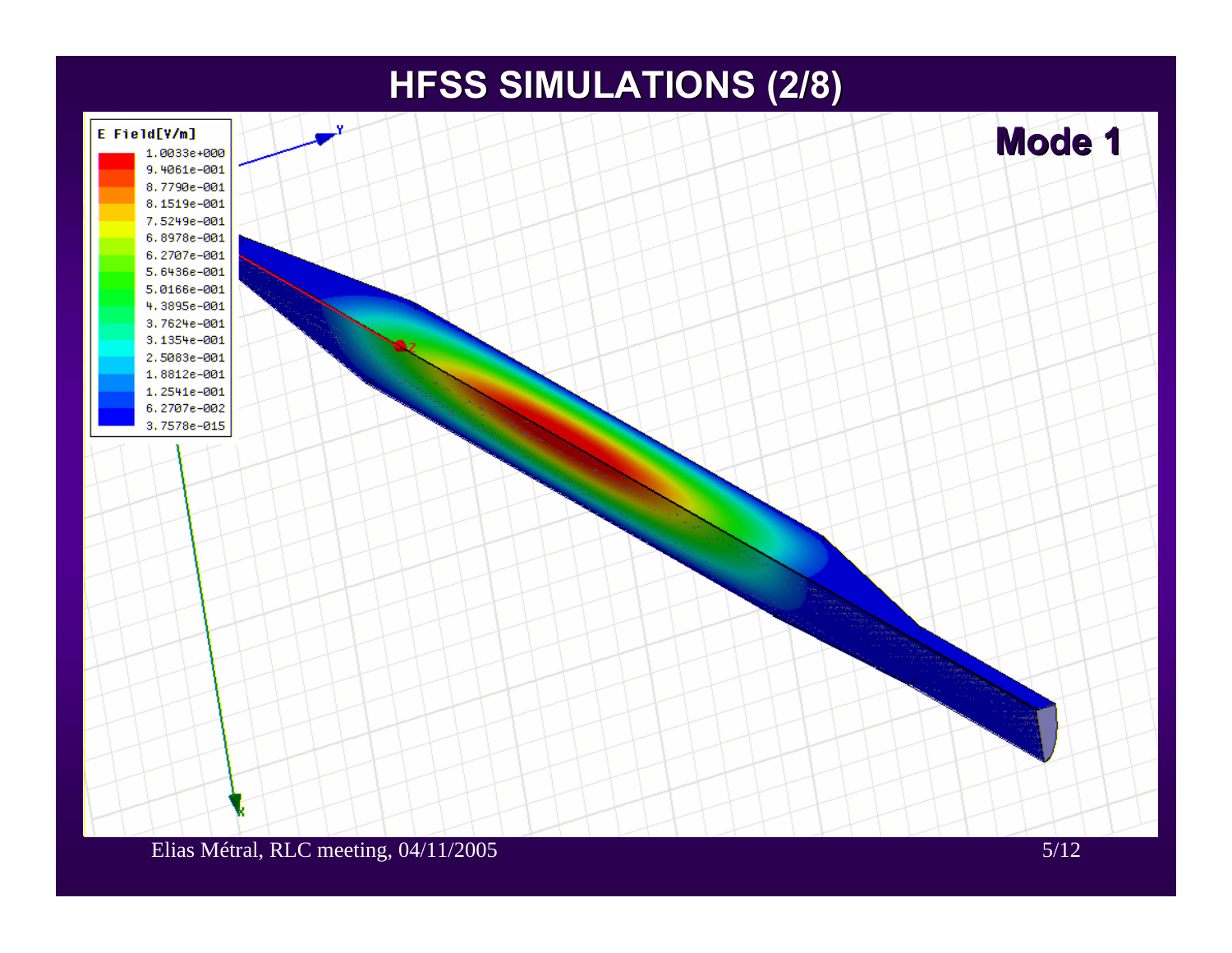### **HFSS SIMULATIONS (2/8) HFSS SIMULATIONS (2/8)**

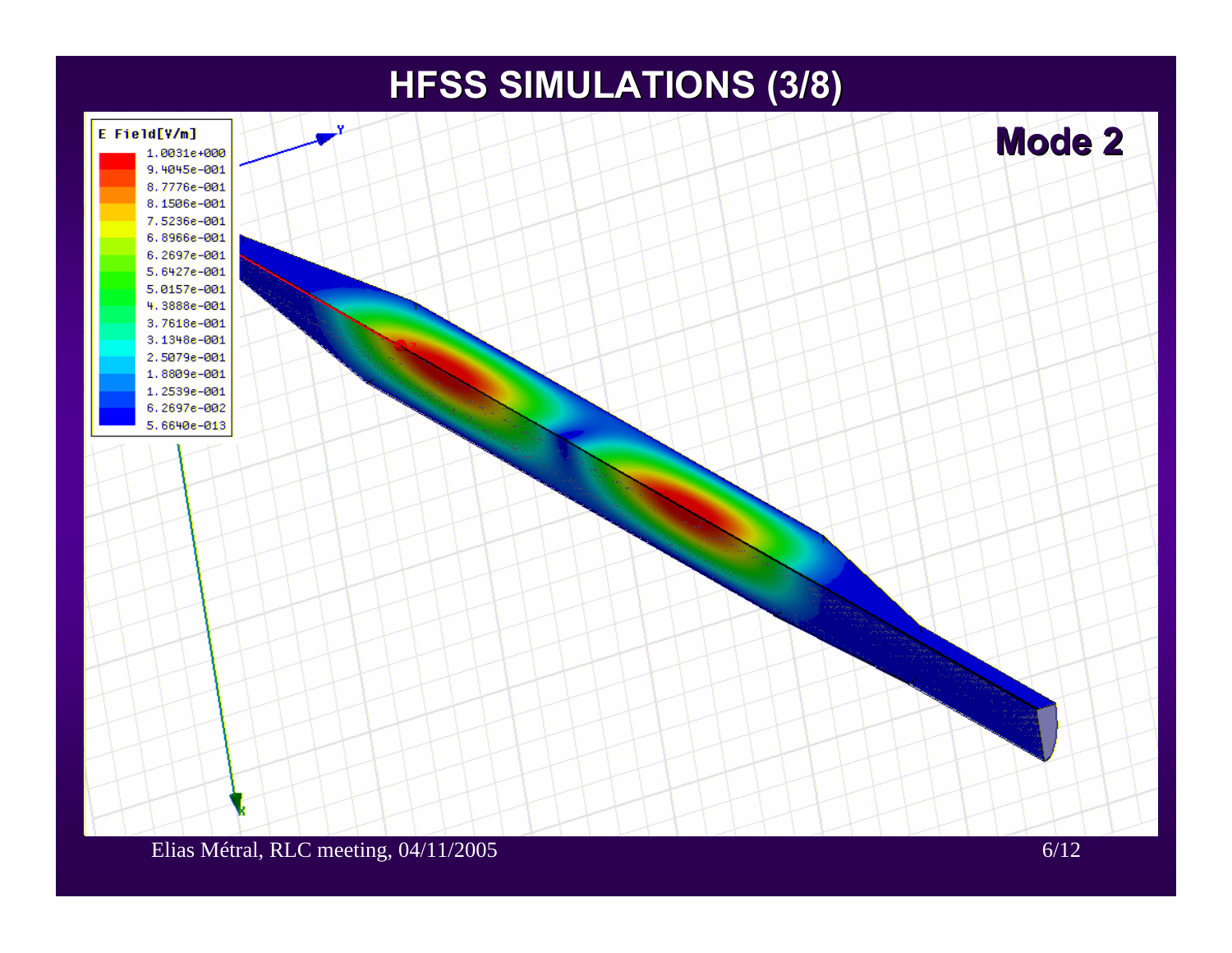### **HFSS SIMULATIONS (3/8) HFSS SIMULATIONS (3/8)**

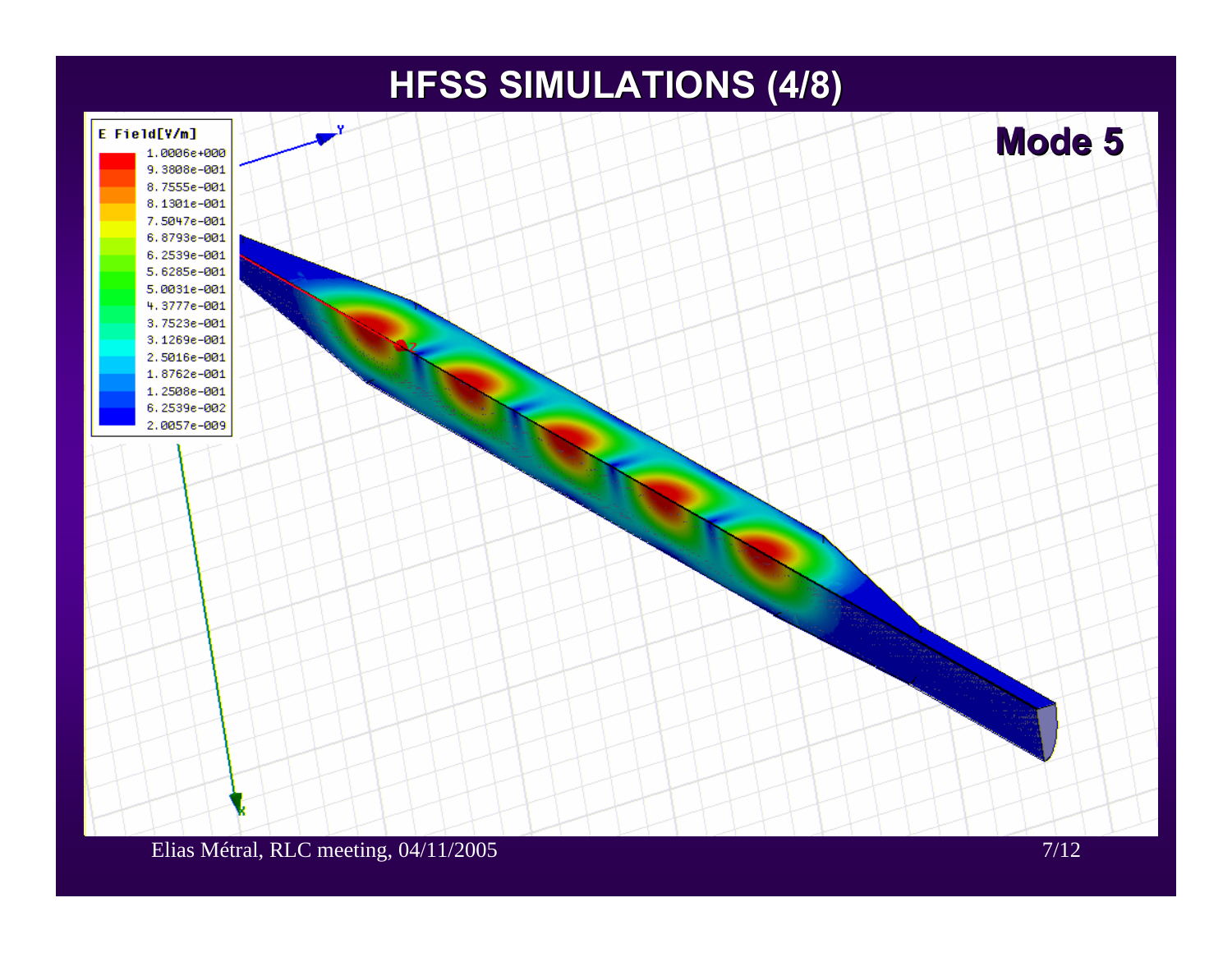### **HFSS SIMULATIONS (4/8) HFSS SIMULATIONS (4/8)**

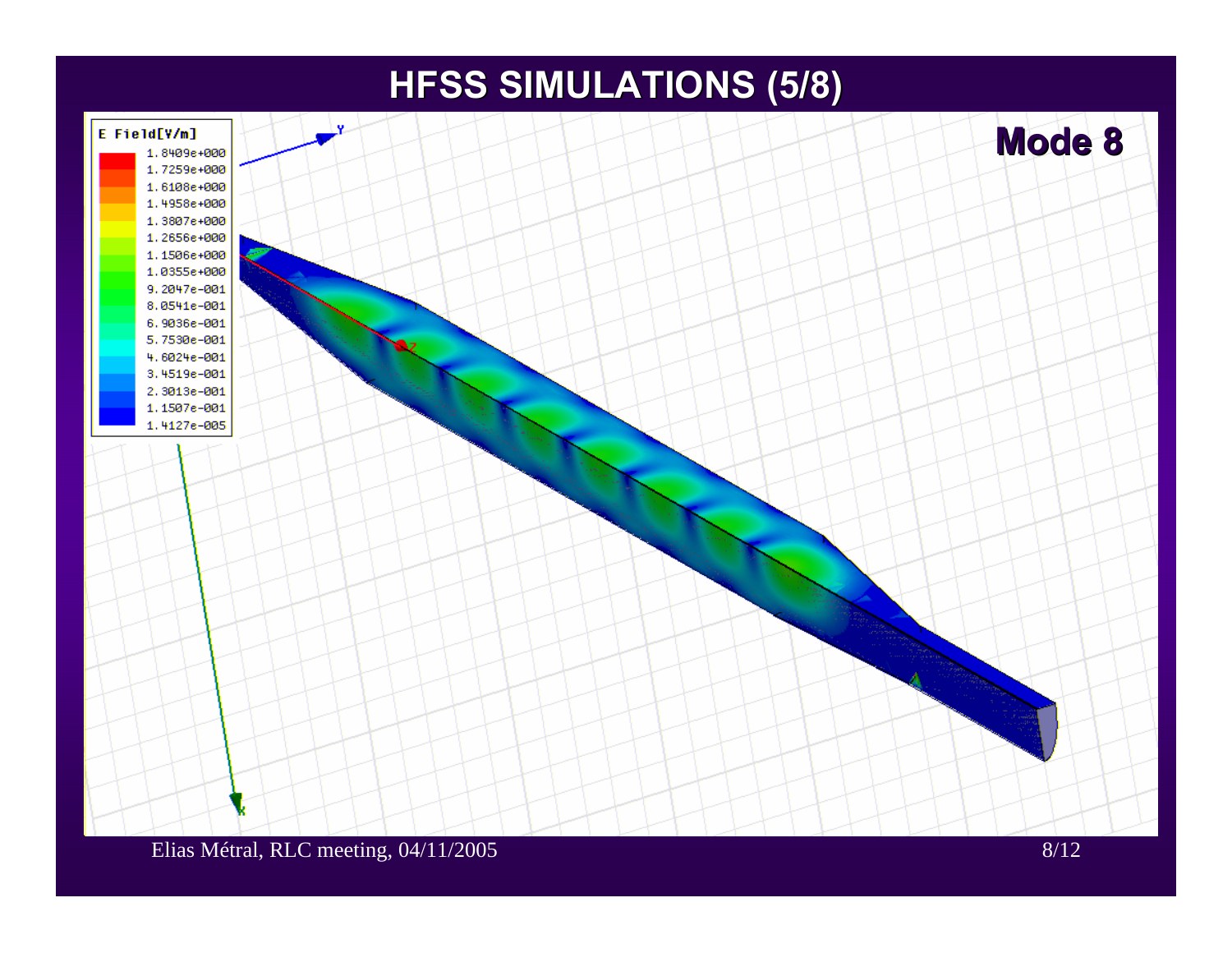### **HFSS SIMULATIONS (5/8) HFSS SIMULATIONS (5/8)**

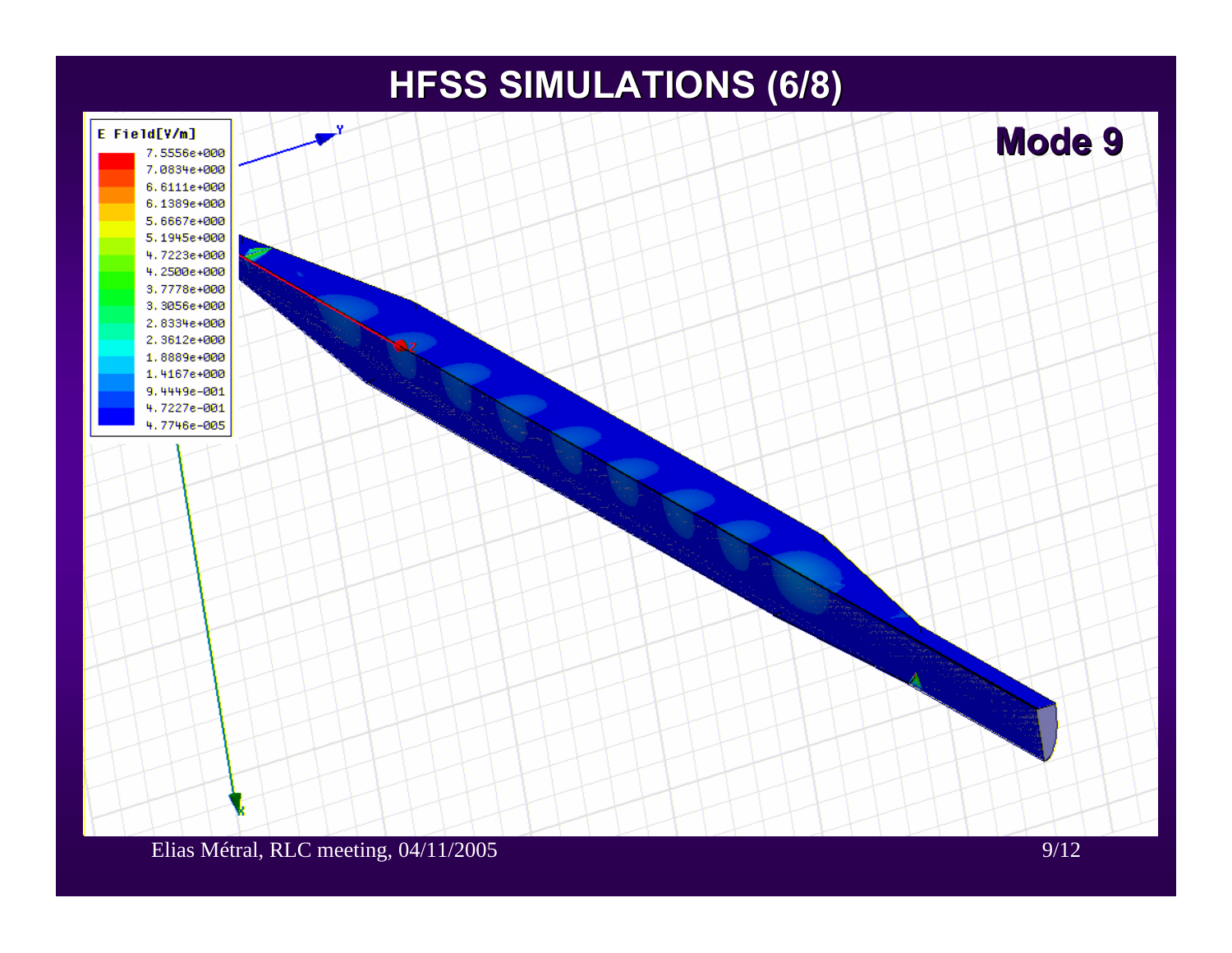### **HFSS SIMULATIONS (6/8) HFSS SIMULATIONS (6/8)**

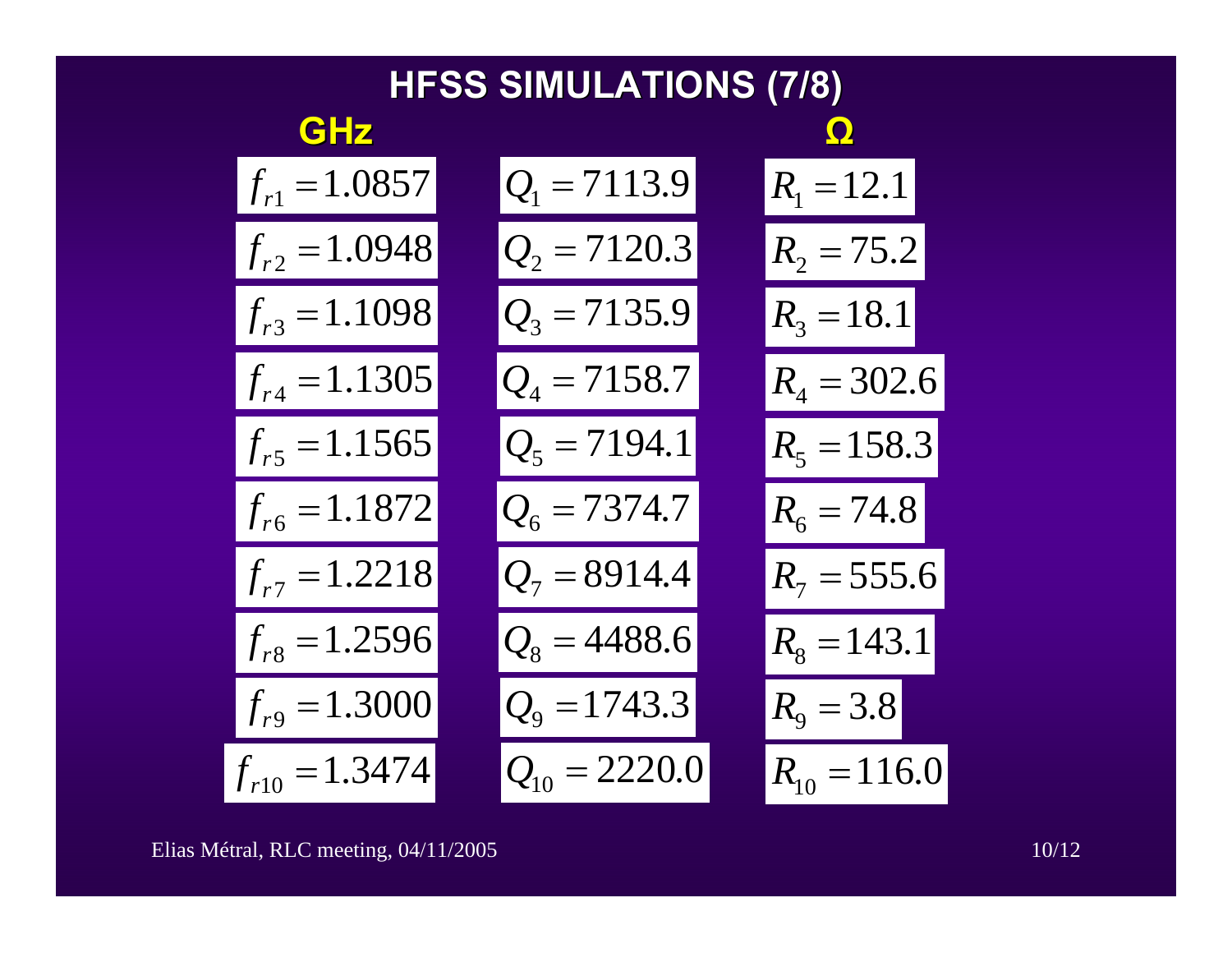| <b>HFSS SIMULATIONS (7/8)</b> |                   |                   |
|-------------------------------|-------------------|-------------------|
| <b>GHZ</b>                    |                   | $\Omega$          |
| $f_{r1} = 1.0857$             | $Q1 = 7113.9$     | $R_1 = 12.1$      |
| $f_{r2} = 1.0948$             | $Q_2 = 7120.3$    | $R_2 = 75.2$      |
| $f_{r3} = 1.1098$             | $Q_3 = 7135.9$    | $R_3 = 18.1$      |
| $f_{r4} = 1.1305$             | $Q_4 = 7158.7$    | $R_4 = 302.6$     |
| $f_{r5} = 1.1565$             | $Q_5 = 7194.1$    | $R_5 = 158.3$     |
| $f_{r6} = 1.1872$             | $Q_6 = 7374.7$    | $R_{6} = 74.8$    |
| $f_{r7} = 1.2218$             | $Q_7 = 8914.4$    | $R_7 = 555.6$     |
| $f_{r8} = 1.2596$             | $Q_8 = 4488.6$    | $R_{8} = 143.1$   |
| $f_{r9} = 1.3000$             | $Q_9 = 1743.3$    | $R_{\rm o} = 3.8$ |
| $f_{r10} = 1.3474$            | $Q_{10} = 2220.0$ | $R_{10} = 116.0$  |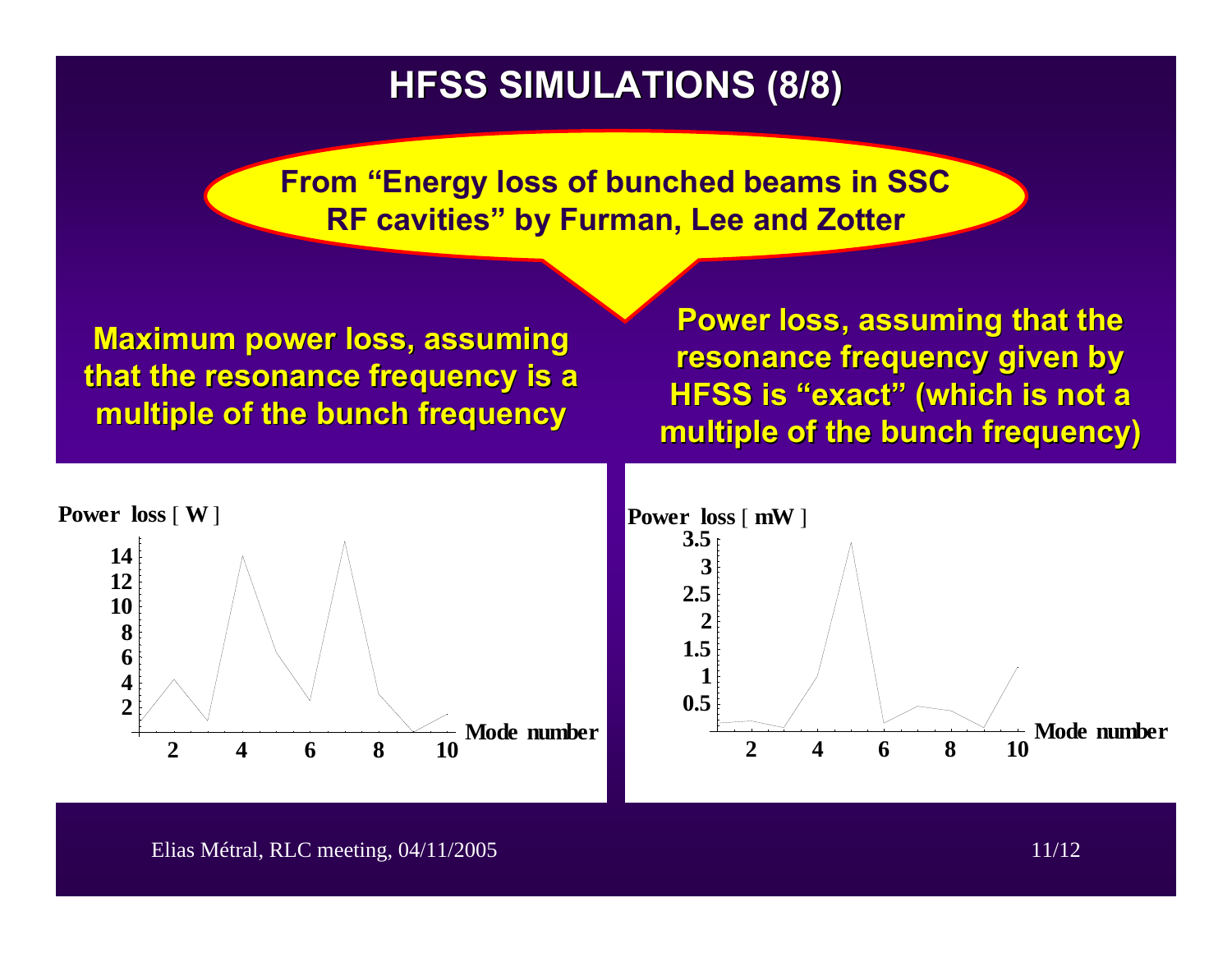#### **HFSS SIMULATIONS (8/8) HFSS SIMULATIONS (8/8)**

**From "Energy loss of bunched beams in SSC RF cavities" by Furman, Lee and Zotter**

**Maximum power loss, assuming that the resonance frequency is a that the resonance frequency is a multiple of the bunch frequency multiple of the bunch frequency**

**Power loss, assuming that the resonance frequency given by resonance frequency given by HFSS is HFSS is "exact**  $"$  (which is not a  $'$ **multiple of the bunch frequency) multiple of the bunch frequency)**